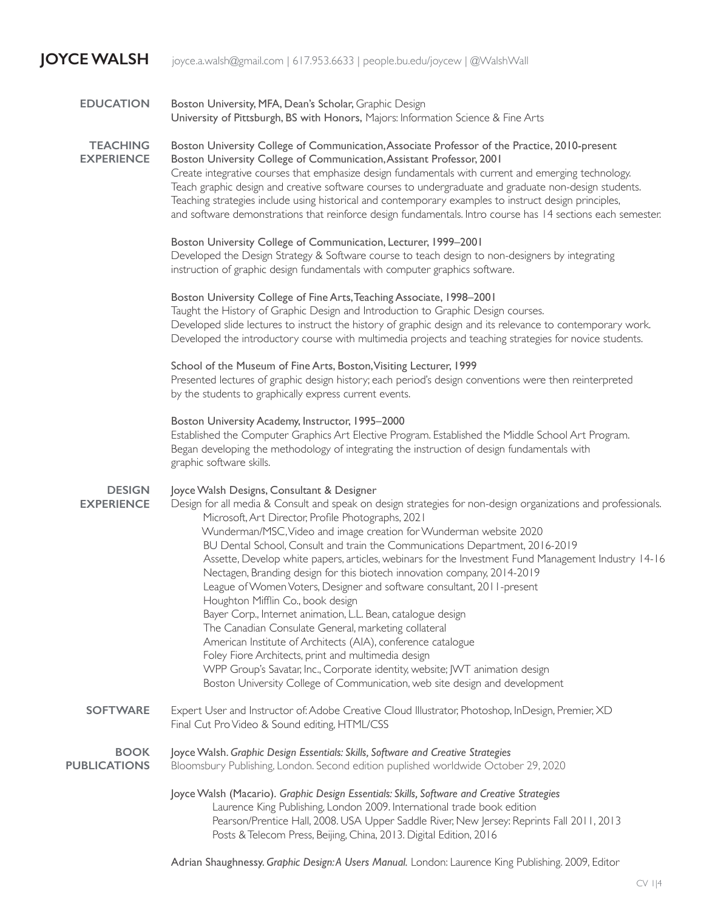## **JOYCE WALSH** joyce.a.walsh@gmail.com | 617.953.6633 | people.bu.edu/joycew | @WalshWall

| <b>EDUCATION</b>                     | Boston University, MFA, Dean's Scholar, Graphic Design<br>University of Pittsburgh, BS with Honors, Majors: Information Science & Fine Arts                                                                                                                                                                                                                                                                                                                                                                                                                                                                                                                                                                                                                                                                                                                                                                                                                                                                                                                                             |
|--------------------------------------|-----------------------------------------------------------------------------------------------------------------------------------------------------------------------------------------------------------------------------------------------------------------------------------------------------------------------------------------------------------------------------------------------------------------------------------------------------------------------------------------------------------------------------------------------------------------------------------------------------------------------------------------------------------------------------------------------------------------------------------------------------------------------------------------------------------------------------------------------------------------------------------------------------------------------------------------------------------------------------------------------------------------------------------------------------------------------------------------|
| <b>TEACHING</b><br><b>EXPERIENCE</b> | Boston University College of Communication, Associate Professor of the Practice, 2010-present<br>Boston University College of Communication, Assistant Professor, 2001<br>Create integrative courses that emphasize design fundamentals with current and emerging technology.<br>Teach graphic design and creative software courses to undergraduate and graduate non-design students.<br>Teaching strategies include using historical and contemporary examples to instruct design principles,<br>and software demonstrations that reinforce design fundamentals. Intro course has 14 sections each semester.                                                                                                                                                                                                                                                                                                                                                                                                                                                                          |
|                                      | Boston University College of Communication, Lecturer, 1999-2001<br>Developed the Design Strategy & Software course to teach design to non-designers by integrating<br>instruction of graphic design fundamentals with computer graphics software.                                                                                                                                                                                                                                                                                                                                                                                                                                                                                                                                                                                                                                                                                                                                                                                                                                       |
|                                      | Boston University College of Fine Arts, Teaching Associate, 1998-2001<br>Taught the History of Graphic Design and Introduction to Graphic Design courses.<br>Developed slide lectures to instruct the history of graphic design and its relevance to contemporary work.<br>Developed the introductory course with multimedia projects and teaching strategies for novice students.                                                                                                                                                                                                                                                                                                                                                                                                                                                                                                                                                                                                                                                                                                      |
|                                      | School of the Museum of Fine Arts, Boston, Visiting Lecturer, 1999<br>Presented lectures of graphic design history; each period's design conventions were then reinterpreted<br>by the students to graphically express current events.                                                                                                                                                                                                                                                                                                                                                                                                                                                                                                                                                                                                                                                                                                                                                                                                                                                  |
|                                      | Boston University Academy, Instructor, 1995-2000<br>Established the Computer Graphics Art Elective Program. Established the Middle School Art Program.<br>Began developing the methodology of integrating the instruction of design fundamentals with<br>graphic software skills.                                                                                                                                                                                                                                                                                                                                                                                                                                                                                                                                                                                                                                                                                                                                                                                                       |
| <b>DESIGN</b><br><b>EXPERIENCE</b>   | Joyce Walsh Designs, Consultant & Designer<br>Design for all media & Consult and speak on design strategies for non-design organizations and professionals.<br>Microsoft, Art Director, Profile Photographs, 2021<br>Wunderman/MSC, Video and image creation for Wunderman website 2020<br>BU Dental School, Consult and train the Communications Department, 2016-2019<br>Assette, Develop white papers, articles, webinars for the Investment Fund Management Industry 14-16<br>Nectagen, Branding design for this biotech innovation company, 2014-2019<br>League of Women Voters, Designer and software consultant, 2011-present<br>Houghton Mifflin Co., book design<br>Bayer Corp., Internet animation, L.L. Bean, catalogue design<br>The Canadian Consulate General, marketing collateral<br>American Institute of Architects (AIA), conference catalogue<br>Foley Fiore Architects, print and multimedia design<br>WPP Group's Savatar, Inc., Corporate identity, website; JWT animation design<br>Boston University College of Communication, web site design and development |
| <b>SOFTWARE</b>                      | Expert User and Instructor of: Adobe Creative Cloud Illustrator, Photoshop, InDesign, Premier, XD<br>Final Cut Pro Video & Sound editing, HTML/CSS                                                                                                                                                                                                                                                                                                                                                                                                                                                                                                                                                                                                                                                                                                                                                                                                                                                                                                                                      |
| <b>BOOK</b><br><b>PUBLICATIONS</b>   | Joyce Walsh. Graphic Design Essentials: Skills, Software and Creative Strategies<br>Bloomsbury Publishing, London. Second edition puplished worldwide October 29, 2020                                                                                                                                                                                                                                                                                                                                                                                                                                                                                                                                                                                                                                                                                                                                                                                                                                                                                                                  |
|                                      | Joyce Walsh (Macario). Graphic Design Essentials: Skills, Software and Creative Strategies<br>Laurence King Publishing, London 2009. International trade book edition<br>Pearson/Prentice Hall, 2008. USA Upper Saddle River, New Jersey: Reprints Fall 2011, 2013<br>Posts & Telecom Press, Beijing, China, 2013. Digital Edition, 2016                                                                                                                                                                                                                                                                                                                                                                                                                                                                                                                                                                                                                                                                                                                                                |

Adrian Shaughnessy. *Graphic Design: A Users Manual.* London: Laurence King Publishing. 2009, Editor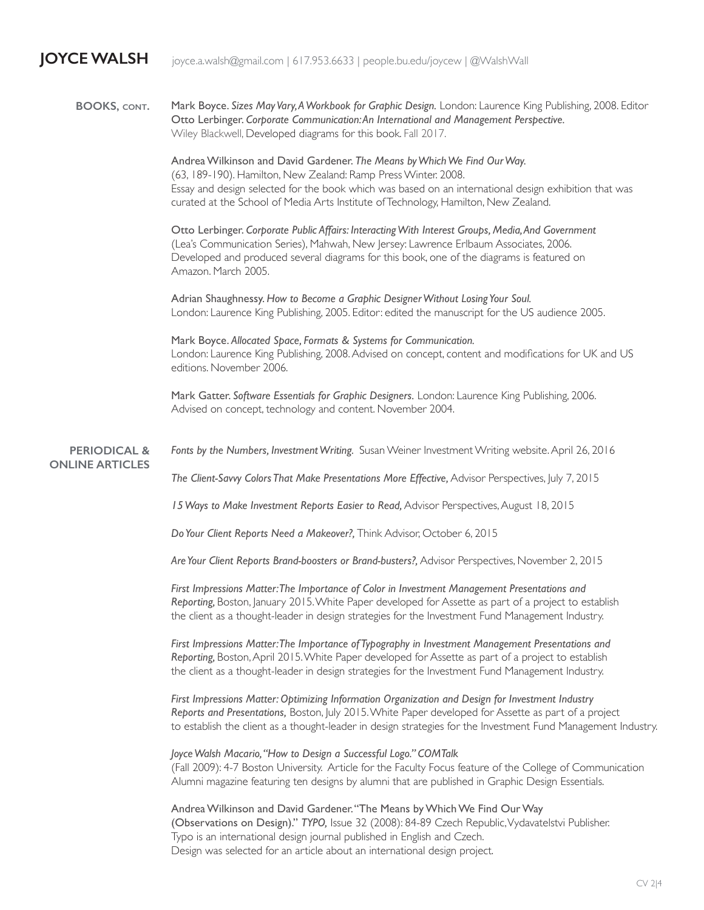**JOYCE WALSH** joyce.a.walsh@gmail.com | 617.953.6633 | people.bu.edu/joycew | @WalshWall

Mark Boyce. *Sizes May Vary, A Workbook for Graphic Design.* London: Laurence King Publishing, 2008. Editor Otto Lerbinger. *Corporate Communication: An International and Management Perspective.* Wiley Blackwell, Developed diagrams for this book. Fall 2017. **BOOKS, cont.**

> Andrea Wilkinson and David Gardener. *The Means by Which We Find Our Way.* (63, 189-190). Hamilton, New Zealand: Ramp Press Winter. 2008. Essay and design selected for the book which was based on an international design exhibition that was curated at the School of Media Arts Institute of Technology, Hamilton, New Zealand.

Otto Lerbinger. *Corporate Public Affairs: Interacting With Interest Groups, Media, And Government* (Lea's Communication Series), Mahwah, New Jersey: Lawrence Erlbaum Associates, 2006. Developed and produced several diagrams for this book, one of the diagrams is featured on Amazon. March 2005.

Adrian Shaughnessy. *How to Become a Graphic Designer Without Losing Your Soul.*  London: Laurence King Publishing, 2005. Editor: edited the manuscript for the US audience 2005.

Mark Boyce. *Allocated Space, Formats & Systems for Communication.*  London: Laurence King Publishing, 2008. Advised on concept, content and modifications for UK and US editions. November 2006.

Mark Gatter. *Software Essentials for Graphic Designers.* London: Laurence King Publishing, 2006. Advised on concept, technology and content. November 2004.

*Fonts by the Numbers, Investment Writing.* Susan Weiner Investment Writing website. April 26, 2016 **PERIODICAL & ONLINE ARTICLES**

*The Client-Savvy Colors That Make Presentations More Effective,* Advisor Perspectives, July 7, 2015

*15 Ways to Make Investment Reports Easier to Read,* Advisor Perspectives, August 18, 2015

*Do Your Client Reports Need a Makeover?,* Think Advisor, October 6, 2015

*Are Your Client Reports Brand-boosters or Brand-busters?,* Advisor Perspectives, November 2, 2015

*First Impressions Matter: The Importance of Color in Investment Management Presentations and Reporting,* Boston, January 2015. White Paper developed for Assette as part of a project to establish the client as a thought-leader in design strategies for the Investment Fund Management Industry.

*First Impressions Matter: The Importance of Typography in Investment Management Presentations and Reporting,* Boston, April 2015. White Paper developed for Assette as part of a project to establish the client as a thought-leader in design strategies for the Investment Fund Management Industry.

*First Impressions Matter: Optimizing Information Organization and Design for Investment Industry Reports and Presentations,* Boston, July 2015. White Paper developed for Assette as part of a project to establish the client as a thought-leader in design strategies for the Investment Fund Management Industry.

*Joyce Walsh Macario, "How to Design a Successful Logo." COMTalk*  (Fall 2009): 4-7 Boston University. Article for the Faculty Focus feature of the College of Communication Alumni magazine featuring ten designs by alumni that are published in Graphic Design Essentials.

Andrea Wilkinson and David Gardener. "The Means by Which We Find Our Way (Observations on Design)." *TYPO,* Issue 32 (2008): 84-89 Czech Republic, Vydavatelstvi Publisher. Typo is an international design journal published in English and Czech. Design was selected for an article about an international design project.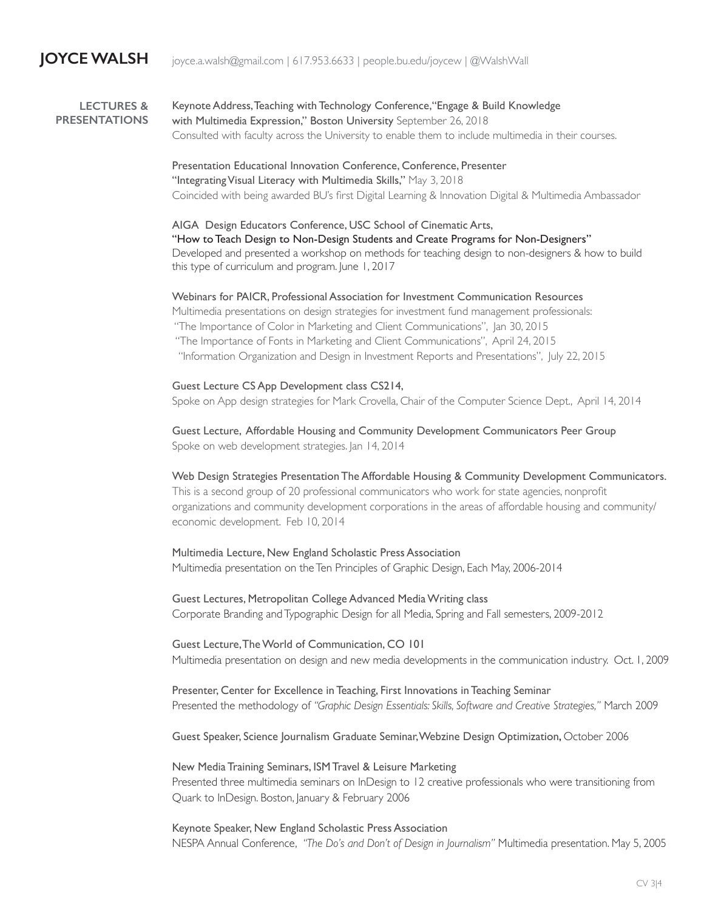## Keynote Address, Teaching with Technology Conference,"Engage & Build Knowledge with Multimedia Expression," Boston University September 26, 2018 Consulted with faculty across the University to enable them to include multimedia in their courses. **LECTURES & PRESENTATIONS**

Presentation Educational Innovation Conference, Conference, Presenter "Integrating Visual Literacy with Multimedia Skills," May 3, 2018 Coincided with being awarded BU's first Digital Learning & Innovation Digital & Multimedia Ambassador

AIGA Design Educators Conference, USC School of Cinematic Arts, "How to Teach Design to Non-Design Students and Create Programs for Non-Designers" Developed and presented a workshop on methods for teaching design to non-designers & how to build this type of curriculum and program. June 1, 2017

Webinars for PAICR, Professional Association for Investment Communication Resources Multimedia presentations on design strategies for investment fund management professionals: "The Importance of Color in Marketing and Client Communications", Jan 30, 2015 "The Importance of Fonts in Marketing and Client Communications", April 24, 2015 "Information Organization and Design in Investment Reports and Presentations", July 22, 2015

Guest Lecture CS App Development class CS214, Spoke on App design strategies for Mark Crovella, Chair of the Computer Science Dept., April 14, 2014

Guest Lecture, Affordable Housing and Community Development Communicators Peer Group Spoke on web development strategies. Jan 14, 2014

Web Design Strategies Presentation The Affordable Housing & Community Development Communicators. This is a second group of 20 professional communicators who work for state agencies, nonprofit organizations and community development corporations in the areas of affordable housing and community/ economic development. Feb 10, 2014

Multimedia Lecture, New England Scholastic Press Association Multimedia presentation on the Ten Principles of Graphic Design, Each May, 2006-2014

Guest Lectures, Metropolitan College Advanced Media Writing class Corporate Branding and Typographic Design for all Media, Spring and Fall semesters, 2009-2012

Guest Lecture, The World of Communication, CO 101 Multimedia presentation on design and new media developments in the communication industry. Oct. 1, 2009

Presenter, Center for Excellence in Teaching, First Innovations in Teaching Seminar Presented the methodology of *"Graphic Design Essentials: Skills, Software and Creative Strategies,"* March 2009

Guest Speaker, Science Journalism Graduate Seminar, Webzine Design Optimization, October 2006

New Media Training Seminars, ISM Travel & Leisure Marketing Presented three multimedia seminars on InDesign to 12 creative professionals who were transitioning from Quark to InDesign. Boston, January & February 2006

Keynote Speaker, New England Scholastic Press Association NESPA Annual Conference, *"The Do's and Don't of Design in Journalism"* Multimedia presentation. May 5, 2005